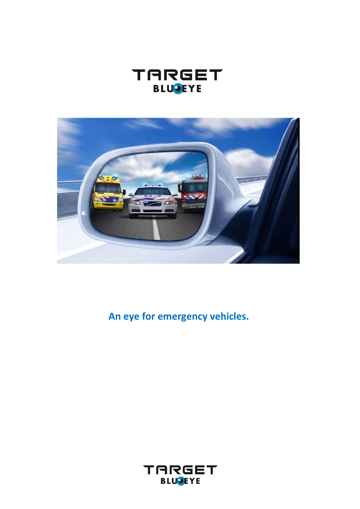



**An eye for emergency vehicles.**

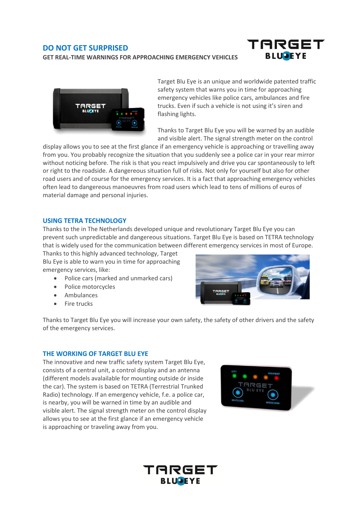# **DO NOT GET SURPRISED**

**GET REAL-TIME WARNINGS FOR APPROACHING EMERGENCY VEHICLES**





Target Blu Eye is an unique and worldwide patented traffic safety system that warns you in time for approaching emergency vehicles like police cars, ambulances and fire trucks. Even if such a vehicle is not using it's siren and flashing lights.

Thanks to Target Blu Eye you will be warned by an audible and visible alert. The signal strength meter on the control

display allows you to see at the first glance if an emergency vehicle is approaching or travelling away from you. You probably recognize the situation that you suddenly see a police car in your rear mirror without noticing before. The risk is that you react impulsively and drive you car spontaneously to left or right to the roadside. A dangereous situation full of risks. Not only for yourself but also for other road users and of course for the emergency services. It is a fact that approaching emergency vehicles often lead to dangereous manoeuvres from road users which lead to tens of millions of euros of material damage and personal injuries.

## **USING TETRA TECHNOLOGY**

Thanks to the in The Netherlands developed unique and revolutionary Target Blu Eye you can prevent such unpredictable and dangereous situations. Target Blu Eye is based on TETRA technology that is widely used for the communication between different emergency services in most of Europe.

Thanks to this highly advanced technology, Target Blu Eye is able to warn you in time for approaching emergency services, like:

- Police cars (marked and unmarked cars)
- Police motorcycles
- Ambulances
- Fire trucks



Thanks to Target Blu Eye you will increase your own safety, the safety of other drivers and the safety of the emergency services.

## **THE WORKING OF TARGET BLU EYE**

The innovative and new traffic safety system Target Blu Eye, consists of a central unit, a control display and an antenna (different models avalailable for mounting outside ór inside the car). The system is based on TETRA (Terrestrial Trunked Radio) technology. If an emergency vehicle, f.e. a police car, is nearby, you will be warned in time by an audible and visible alert. The signal strength meter on the control display allows you to see at the first glance if an emergency vehicle is approaching or traveling away from you.



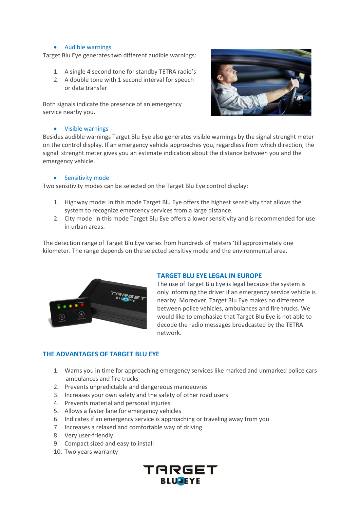## Audible warnings

Target Blu Eye generates two different audible warnings:

- 1. A single 4 second tone for standby TETRA radio's
- 2. A double tone with 1 second interval for speech or data transfer

Both signals indicate the presence of an emergency service nearby you.

#### Visible warnings

Besides audible warnings Target Blu Eye also generates visible warnings by the signal strenght meter on the control display. If an emergency vehicle approaches you, regardless from which direction, the signal strenght meter gives you an estimate indication about the distance between you and the emergency vehicle.

#### **•** Sensitivity mode

Two sensitivity modes can be selected on the Target Blu Eye control display:

- 1. Highway mode: in this mode Target Blu Eye offers the highest sensitivity that allows the system to recognize emercency services from a large distance.
- 2. City mode: in this mode Target Blu Eye offers a lower sensitivity and is recommended for use in urban areas.

The detection range of Target Blu Eye varies from hundreds of meters 'till approximately one kilometer. The range depends on the selected sensitivy mode and the environmental area.



## **TARGET BLU EYE LEGAL IN EUROPE**

The use of Target Blu Eye is legal because the system is only informing the driver if an emergency service vehicle is nearby. Moreover, Target Blu Eye makes no difference between police vehicles, ambulances and fire trucks. We would like to emphasize that Target Blu Eye is not able to decode the radio messages broadcasted by the TETRA network.

## **THE ADVANTAGES OF TARGET BLU EYE**

- 1. Warns you in time for approaching emergency services like marked and unmarked police cars ambulances and fire trucks
- 2. Prevents unpredictable and dangereous manoeuvres
- 3. Increases your own safety and the safety of other road users
- 4. Prevents material and personal injuries
- 5. Allows a faster lane for emergency vehicles
- 6. Indicates if an emergency service is approaching or traveling away from you
- 7. Increases a relaxed and comfortable way of driving
- 8. Very user-friendly
- 9. Compact sized and easy to install
- 10. Two years warranty